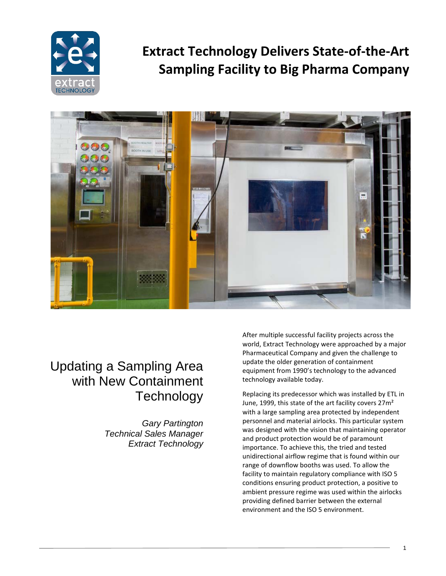

# **Extract Technology Delivers State-of-the-Art Sampling Facility to Big Pharma Company**



## Updating a Sampling Area with New Containment **Technology**

*Gary Partington Technical Sales Manager Extract Technology* After multiple successful facility projects across the world, Extract Technology were approached by a major Pharmaceutical Company and given the challenge to update the older generation of containment equipment from 1990's technology to the advanced technology available today.

Replacing its predecessor which was installed by ETL in June, 1999, this state of the art facility covers 27m² with a large sampling area protected by independent personnel and material airlocks. This particular system was designed with the vision that maintaining operator and product protection would be of paramount importance. To achieve this, the tried and tested unidirectional airflow regime that is found within our range of downflow booths was used. To allow the facility to maintain regulatory compliance with ISO 5 conditions ensuring product protection, a positive to ambient pressure regime was used within the airlocks providing defined barrier between the external environment and the ISO 5 environment.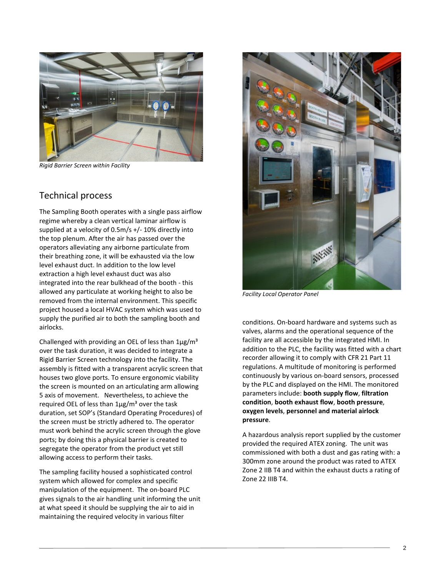

*Rigid Barrier Screen within Facility*

#### Technical process

The Sampling Booth operates with a single pass airflow regime whereby a clean vertical laminar airflow is supplied at a velocity of 0.5m/s +/- 10% directly into the top plenum. After the air has passed over the operators alleviating any airborne particulate from their breathing zone, it will be exhausted via the low level exhaust duct. In addition to the low level extraction a high level exhaust duct was also integrated into the rear bulkhead of the booth - this allowed any particulate at working height to also be removed from the internal environment. This specific project housed a local HVAC system which was used to supply the purified air to both the sampling booth and airlocks.

Challenged with providing an OEL of less than  $1\mu$ g/m<sup>3</sup> over the task duration, it was decided to integrate a Rigid Barrier Screen technology into the facility. The assembly is fitted with a transparent acrylic screen that houses two glove ports. To ensure ergonomic viability the screen is mounted on an articulating arm allowing 5 axis of movement. Nevertheless, to achieve the required OEL of less than  $1\mu g/m^3$  over the task duration, set SOP's (Standard Operating Procedures) of the screen must be strictly adhered to. The operator must work behind the acrylic screen through the glove ports; by doing this a physical barrier is created to segregate the operator from the product yet still allowing access to perform their tasks.

The sampling facility housed a sophisticated control system which allowed for complex and specific manipulation of the equipment. The on-board PLC gives signals to the air handling unit informing the unit at what speed it should be supplying the air to aid in maintaining the required velocity in various filter



*Facility Local Operator Panel*

conditions. On-board hardware and systems such as valves, alarms and the operational sequence of the facility are all accessible by the integrated HMI. In addition to the PLC, the facility was fitted with a chart recorder allowing it to comply with CFR 21 Part 11 regulations. A multitude of monitoring is performed continuously by various on-board sensors, processed by the PLC and displayed on the HMI. The monitored parameters include: **booth supply flow**, **filtration condition**, **booth exhaust flow**, **booth pressure**, **oxygen levels**, **personnel and material airlock pressure**.

A hazardous analysis report supplied by the customer provided the required ATEX zoning. The unit was commissioned with both a dust and gas rating with: a 300mm zone around the product was rated to ATEX Zone 2 IIB T4 and within the exhaust ducts a rating of Zone 22 IIIB T4.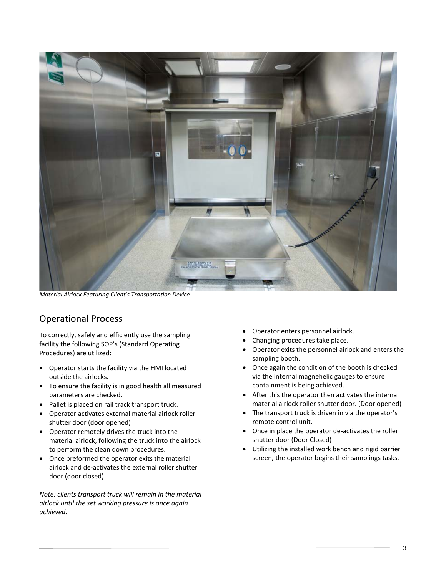

*Material Airlock Featuring Client's Transportation Device*

#### Operational Process

To correctly, safely and efficiently use the sampling facility the following SOP's (Standard Operating Procedures) are utilized:

- Operator starts the facility via the HMI located outside the airlocks.
- To ensure the facility is in good health all measured parameters are checked.
- Pallet is placed on rail track transport truck.
- Operator activates external material airlock roller shutter door (door opened)
- Operator remotely drives the truck into the material airlock, following the truck into the airlock to perform the clean down procedures.
- Once preformed the operator exits the material airlock and de-activates the external roller shutter door (door closed)

*Note: clients transport truck will remain in the material airlock until the set working pressure is once again achieved.* 

- Operator enters personnel airlock.
- Changing procedures take place.
- Operator exits the personnel airlock and enters the sampling booth.
- Once again the condition of the booth is checked via the internal magnehelic gauges to ensure containment is being achieved.
- After this the operator then activates the internal material airlock roller shutter door. (Door opened)
- The transport truck is driven in via the operator's remote control unit.
- Once in place the operator de-activates the roller shutter door (Door Closed)
- Utilizing the installed work bench and rigid barrier screen, the operator begins their samplings tasks.